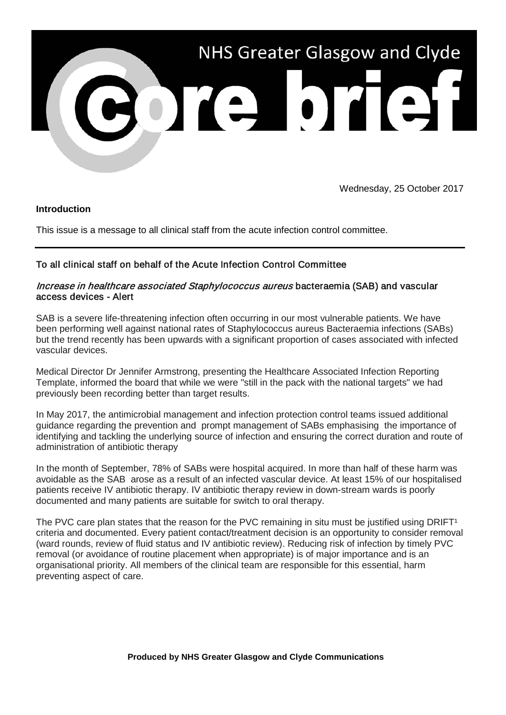

Wednesday, 25 October 2017

### **Introduction**

This issue is a message to all clinical staff from the acute infection control committee.

## To all clinical staff on behalf of the Acute Infection Control Committee

### Increase in healthcare associated Staphylococcus aureus bacteraemia (SAB) and vascular access devices - Alert

SAB is a severe life-threatening infection often occurring in our most vulnerable patients. We have been performing well against national rates of Staphylococcus aureus Bacteraemia infections (SABs) but the trend recently has been upwards with a significant proportion of cases associated with infected vascular devices.

Medical Director Dr Jennifer Armstrong, presenting the Healthcare Associated Infection Reporting Template, informed the board that while we were "still in the pack with the national targets" we had previously been recording better than target results.

In May 2017, the antimicrobial management and infection protection control teams issued additional guidance regarding the prevention and prompt management of SABs emphasising the importance of identifying and tackling the underlying source of infection and ensuring the correct duration and route of administration of antibiotic therapy

In the month of September, 78% of SABs were hospital acquired. In more than half of these harm was avoidable as the SAB arose as a result of an infected vascular device. At least 15% of our hospitalised patients receive IV antibiotic therapy. IV antibiotic therapy review in down-stream wards is poorly documented and many patients are suitable for switch to oral therapy.

The PVC care plan states that the reason for the PVC remaining in situ must be justified using DRIFT<sup>1</sup> criteria and documented. Every patient contact/treatment decision is an opportunity to consider removal (ward rounds, review of fluid status and IV antibiotic review). Reducing risk of infection by timely PVC removal (or avoidance of routine placement when appropriate) is of major importance and is an organisational priority. All members of the clinical team are responsible for this essential, harm preventing aspect of care.